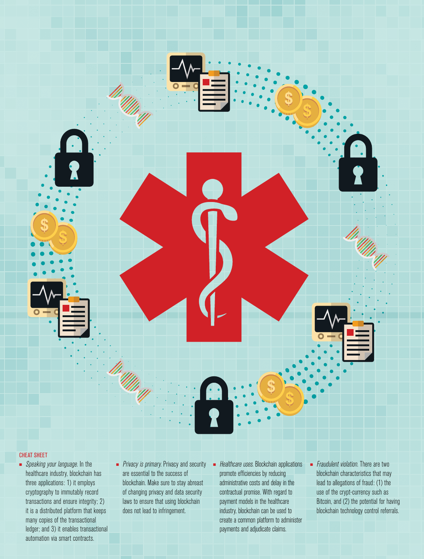

#### CHEAT SHEET

- Speaking your language. In the healthcare industry, blockchain has three applications: 1) it employs cryptography to immutably record transactions and ensure integrity; 2) it is a distributed platform that keeps many copies of the transactional ledger; and 3) it enables transactional automation via smart contracts.
- *Privacy is primary.* Privacy and security are essential to the success of blockchain. Make sure to stay abreast of changing privacy and data security laws to ensure that using blockchain does not lead to infringement.
- Healthcare uses. Blockchain applications promote efficiencies by reducing administrative costs and delay in the contractual promise. With regard to payment models in the healthcare industry, blockchain can be used to create a common platform to administer payments and adjudicate claims.
- *Fraudulent violation*. There are two blockchain characteristics that may lead to allegations of fraud: (1) the use of the crypt-currency such as Bitcoin, and (2) the potential for having blockchain technology control referrals.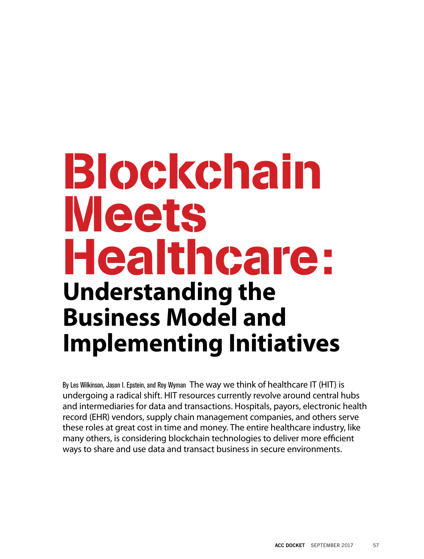# Blockchain Meets Healthcare: **Understanding the Business Model and Implementing Initiatives**

By Les Wilkinson, Jason I. Epstein, and Roy Wyman The way we think of healthcare IT (HIT) is undergoing a radical shift. HIT resources currently revolve around central hubs and intermediaries for data and transactions. Hospitals, payors, electronic health record (EHR) vendors, supply chain management companies, and others serve these roles at great cost in time and money. The entire healthcare industry, like many others, is considering blockchain technologies to deliver more efficient ways to share and use data and transact business in secure environments.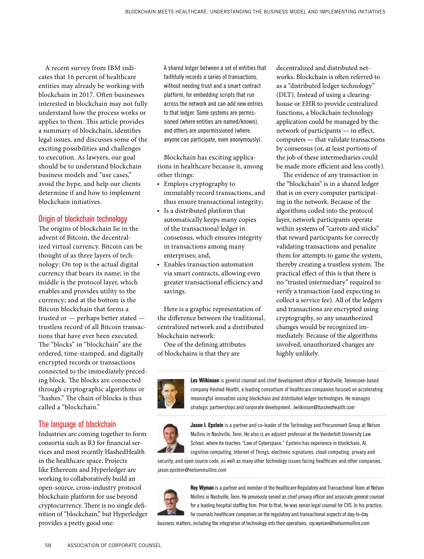A recent survey from IBM indicates that 16 percent of healthcare entities may already be working with blockchain in 2017. Often businesses interested in blockchain may not fully understand how the process works or applies to them. This article provides a summary of blockchain, identifies legal issues, and discusses some of the exciting possibilities and challenges to execution. As lawyers, our goal should be to understand blockchain business models and "use cases," avoid the hype, and help our clients determine if and how to implement blockchain initiatives.

## Origin of blockchain technology

The origins of blockchain lie in the advent of Bitcoin, the decentralized virtual currency. Bitcoin can be thought of as three layers of technology: On top is the actual digital currency that bears its name; in the middle is the protocol layer, which enables and provides utility to the currency; and at the bottom is the Bitcoin blockchain that forms a trusted or — perhaps better stated trustless record of all Bitcoin transactions that have ever been executed. The "blocks" in "blockchain" are the ordered, time-stamped, and digitally encrypted records or transactions connected to the immediately preceding block. The blocks are connected through cryptographic algorithms or "hashes." The chain of blocks is thus called a "blockchain."

# The language of blockchain

Industries are coming together to form consortia such as R3 for financial services and most recently HashedHealth in the healthcare space. Projects like Ethereum and Hyperledger are working to collaboratively build an open-source, cross-industry protocol blockchain platform for use beyond cryptocurrency. There is no single definition of "blockchain," but Hyperledger provides a pretty good one:

A shared ledger between a set of entities that faithfully records a series of transactions, without needing trust and a smart contract platform, for embedding scripts that run across the network and can add new entries to that ledger. Some systems are permissioned (where entities are named/known), and others are unpermissioned (where anyone can participate, even anonymously).

Blockchain has exciting applications in healthcare because it, among other things:

- Employs cryptography to immutably record transactions, and thus ensure transactional integrity;
- Is a distributed platform that automatically keeps many copies of the transactional ledger in consensus, which ensures integrity in transactions among many enterprises; and,
- Enables transaction automation via smart contracts, allowing even greater transactional efficiency and savings.

Here is a graphic representation of the difference between the traditional, centralized network and a distributed blockchain network:

One of the defining attributes of blockchains is that they are

decentralized and distributed networks. Blockchain is often referred to as a "distributed ledger technology" (DLT). Instead of using a clearinghouse or EHR to provide centralized functions, a blockchain technology application could be managed by the network of participants — in effect, computers — that validate transactions by consensus (or, at least portions of the job of these intermediaries could be made more efficient and less costly).

The evidence of any transaction in the "blockchain" is in a shared ledger that is on every computer participating in the network. Because of the algorithms coded into the protocol layer, network participants operate within systems of "carrots and sticks" that reward participants for correctly validating transactions and penalize them for attempts to game the system, thereby creating a trustless system. The practical effect of this is that there is no "trusted intermediary" required to verify a transaction (and expecting to collect a service fee). All of the ledgers and transactions are encrypted using cryptography, so any unauthorized changes would be recognized immediately. Because of the algorithms involved, unauthorized changes are highly unlikely.



**Les Wilkinson** is general counsel and chief development officer at Nashville, Tennessee-based company Hashed Health, a leading consortium of healthcare companies focused on accelerating meaningful innovation using blockchain and distributed ledger technologies. He manages strategic partnerships and corporate development. *lwilkinson@hashedhealth.com*



**Jason I. Epstein** is a partner and co-leader of the Technology and Procurement Group at Nelson Mullins in Nashville, Tenn. He also is an adjunct professor at the Vanderbilt University Law School, where he teaches "Law of Cyberspace." Epstein has experience in blockchain, AI, cognitive computing, Internet of Things, electronic signatures, cloud computing, privacy and

security, and open source code, as well as many other technology issues facing healthcare and other companies. *jason.epstein@nelsonmullins.com*



**Roy Wyman** is a partner and member of the Healthcare Regulatory and Transactional Team at Nelson Mullins in Nashville, Tenn. He previously served as chief privacy officer and associate general counsel for a leading hospital staffing firm. Prior to that, he was senior legal counsel for CVS. In his practice, he counsels healthcare companies on the regulatory and transactional aspects of day-to-day

business matters, including the integration of technology into their operations. *roy.wyman@nelsonmullins.com*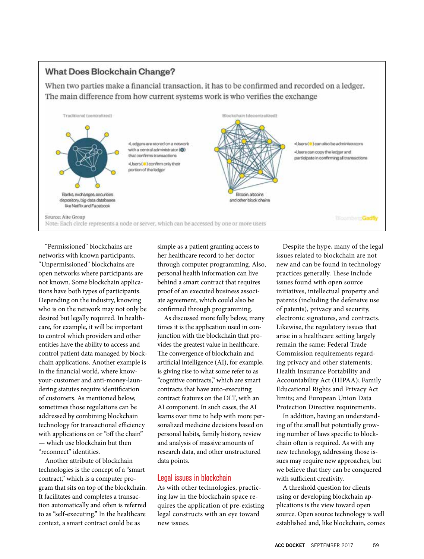# **What Does Blockchain Change?**

When two parties make a financial transaction, it has to be confirmed and recorded on a ledger. The main difference from how current systems work is who verifies the exchange



"Permissioned" blockchains are networks with known participants. "Unpermissioned" blockchains are open networks where participants are not known. Some blockchain applications have both types of participants. Depending on the industry, knowing who is on the network may not only be desired but legally required. In healthcare, for example, it will be important to control which providers and other entities have the ability to access and control patient data managed by blockchain applications. Another example is in the financial world, where knowyour-customer and anti-money-laundering statutes require identification of customers. As mentioned below, sometimes those regulations can be addressed by combining blockchain technology for transactional efficiency with applications on or "off the chain" — which use blockchain but then "reconnect" identities.

Another attribute of blockchain technologies is the concept of a "smart contract," which is a computer program that sits on top of the blockchain. It facilitates and completes a transaction automatically and often is referred to as "self-executing." In the healthcare context, a smart contract could be as

simple as a patient granting access to her healthcare record to her doctor through computer programming. Also, personal health information can live behind a smart contract that requires proof of an executed business associate agreement, which could also be confirmed through programming.

As discussed more fully below, many times it is the application used in conjunction with the blockchain that provides the greatest value in healthcare. The convergence of blockchain and artificial intelligence (AI), for example, is giving rise to what some refer to as "cognitive contracts," which are smart contracts that have auto-executing contract features on the DLT, with an AI component. In such cases, the AI learns over time to help with more personalized medicine decisions based on personal habits, family history, review and analysis of massive amounts of research data, and other unstructured data points.

# Legal issues in blockchain

As with other technologies, practicing law in the blockchain space requires the application of pre-existing legal constructs with an eye toward new issues.

Despite the hype, many of the legal issues related to blockchain are not new and can be found in technology practices generally. These include issues found with open source initiatives, intellectual property and patents (including the defensive use of patents), privacy and security, electronic signatures, and contracts. Likewise, the regulatory issues that arise in a healthcare setting largely remain the same: Federal Trade Commission requirements regarding privacy and other statements; Health Insurance Portability and Accountability Act (HIPAA); Family Educational Rights and Privacy Act limits; and European Union Data Protection Directive requirements.

In addition, having an understanding of the small but potentially growing number of laws specific to blockchain often is required. As with any new technology, addressing those issues may require new approaches, but we believe that they can be conquered with sufficient creativity.

A threshold question for clients using or developing blockchain applications is the view toward open source. Open source technology is well established and, like blockchain, comes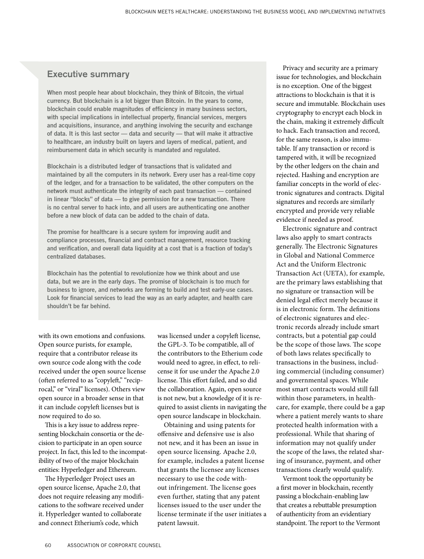# Executive summary

**When most people hear about blockchain, they think of Bitcoin, the virtual currency. But blockchain is a lot bigger than Bitcoin. In the years to come, blockchain could enable magnitudes of efficiency in many business sectors, with special implications in intellectual property, financial services, mergers and acquisitions, insurance, and anything involving the security and exchange of data. It is this last sector — data and security — that will make it attractive to healthcare, an industry built on layers and layers of medical, patient, and reimbursement data in which security is mandated and regulated.**

**Blockchain is a distributed ledger of transactions that is validated and maintained by all the computers in its network. Every user has a real-time copy of the ledger, and for a transaction to be validated, the other computers on the network must authenticate the integrity of each past transaction — contained in linear "blocks" of data — to give permission for a new transaction. There is no central server to hack into, and all users are authenticating one another before a new block of data can be added to the chain of data.**

**The promise for healthcare is a secure system for improving audit and compliance processes, financial and contract management, resource tracking and verification, and overall data liquidity at a cost that is a fraction of today's centralized databases.**

**Blockchain has the potential to revolutionize how we think about and use data, but we are in the early days. The promise of blockchain is too much for business to ignore, and networks are forming to build and test early-use cases. Look for financial services to lead the way as an early adapter, and health care shouldn't be far behind.**

with its own emotions and confusions. Open source purists, for example, require that a contributor release its own source code along with the code received under the open source license (often referred to as "copyleft," "reciprocal," or "viral" licenses). Others view open source in a broader sense in that it can include copyleft licenses but is now required to do so.

This is a key issue to address representing blockchain consortia or the decision to participate in an open source project. In fact, this led to the incompatibility of two of the major blockchain entities: Hyperledger and Ethereum.

The Hyperledger Project uses an open source license, Apache 2.0, that does not require releasing any modifications to the software received under it. Hyperledger wanted to collaborate and connect Etherium's code, which

was licensed under a copyleft license, the GPL-3. To be compatible, all of the contributors to the Etherium code would need to agree, in effect, to relicense it for use under the Apache 2.0 license. This effort failed, and so did the collaboration. Again, open source is not new, but a knowledge of it is required to assist clients in navigating the open source landscape in blockchain.

Obtaining and using patents for offensive and defensive use is also not new, and it has been an issue in open source licensing. Apache 2.0, for example, includes a patent license that grants the licensee any licenses necessary to use the code without infringement. The license goes even further, stating that any patent licenses issued to the user under the license terminate if the user initiates a patent lawsuit.

Privacy and security are a primary issue for technologies, and blockchain is no exception. One of the biggest attractions to blockchain is that it is secure and immutable. Blockchain uses cryptography to encrypt each block in the chain, making it extremely difficult to hack. Each transaction and record, for the same reason, is also immutable. If any transaction or record is tampered with, it will be recognized by the other ledgers on the chain and rejected. Hashing and encryption are familiar concepts in the world of electronic signatures and contracts. Digital signatures and records are similarly encrypted and provide very reliable evidence if needed as proof.

Electronic signature and contract laws also apply to smart contracts generally. The Electronic Signatures in Global and National Commerce Act and the Uniform Electronic Transaction Act (UETA), for example, are the primary laws establishing that no signature or transaction will be denied legal effect merely because it is in electronic form. The definitions of electronic signatures and electronic records already include smart contracts, but a potential gap could be the scope of those laws. The scope of both laws relates specifically to transactions in the business, including commercial (including consumer) and governmental spaces. While most smart contracts would still fall within those parameters, in healthcare, for example, there could be a gap where a patient merely wants to share protected health information with a professional. While that sharing of information may not qualify under the scope of the laws, the related sharing of insurance, payment, and other transactions clearly would qualify.

Vermont took the opportunity be a first mover in blockchain, recently passing a blockchain-enabling law that creates a rebuttable presumption of authenticity from an evidentiary standpoint. The report to the Vermont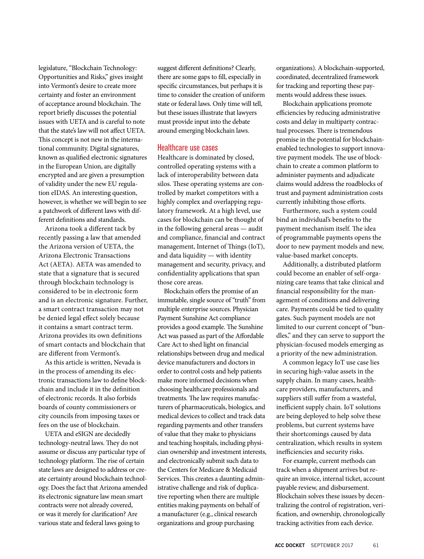legislature, "Blockchain Technology: Opportunities and Risks," gives insight into Vermont's desire to create more certainty and foster an environment of acceptance around blockchain. The report briefly discusses the potential issues with UETA and is careful to note that the state's law will not affect UETA. This concept is not new in the international community. Digital signatures, known as qualified electronic signatures in the European Union, are digitally encrypted and are given a presumption of validity under the new EU regulation eIDAS. An interesting question, however, is whether we will begin to see a patchwork of different laws with different definitions and standards.

Arizona took a different tack by recently passing a law that amended the Arizona version of UETA, the Arizona Electronic Transactions Act (AETA). AETA was amended to state that a signature that is secured through blockchain technology is considered to be in electronic form and is an electronic signature. Further, a smart contract transaction may not be denied legal effect solely because it contains a smart contract term. Arizona provides its own definitions of smart contacts and blockchain that are different from Vermont's.

As this article is written, Nevada is in the process of amending its electronic transactions law to define blockchain and include it in the definition of electronic records. It also forbids boards of county commissioners or city councils from imposing taxes or fees on the use of blockchain.

UETA and eSIGN are decidedly technology-neutral laws. They do not assume or discuss any particular type of technology platform. The rise of certain state laws are designed to address or create certainty around blockchain technology. Does the fact that Arizona amended its electronic signature law mean smart contracts were not already covered, or was it merely for clarification? Are various state and federal laws going to

suggest different definitions? Clearly, there are some gaps to fill, especially in specific circumstances, but perhaps it is time to consider the creation of uniform state or federal laws. Only time will tell, but these issues illustrate that lawyers must provide input into the debate around emerging blockchain laws.

## Healthcare use cases

Healthcare is dominated by closed, controlled operating systems with a lack of interoperability between data silos. These operating systems are controlled by market competitors with a highly complex and overlapping regulatory framework. At a high level, use cases for blockchain can be thought of in the following general areas — audit and compliance, financial and contract management, Internet of Things (IoT), and data liquidity — with identity management and security, privacy, and confidentiality applications that span those core areas.

Blockchain offers the promise of an immutable, single source of "truth" from multiple enterprise sources. Physician Payment Sunshine Act compliance provides a good example. The Sunshine Act was passed as part of the Affordable Care Act to shed light on financial relationships between drug and medical device manufacturers and doctors in order to control costs and help patients make more informed decisions when choosing healthcare professionals and treatments. The law requires manufacturers of pharmaceuticals, biologics, and medical devices to collect and track data regarding payments and other transfers of value that they make to physicians and teaching hospitals, including physician ownership and investment interests, and electronically submit such data to the Centers for Medicare & Medicaid Services. This creates a daunting administrative challenge and risk of duplicative reporting when there are multiple entities making payments on behalf of a manufacturer (e.g., clinical research organizations and group purchasing

organizations). A blockchain-supported, coordinated, decentralized framework for tracking and reporting these payments would address these issues.

Blockchain applications promote efficiencies by reducing administrative costs and delay in multiparty contractual processes. There is tremendous promise in the potential for blockchainenabled technologies to support innovative payment models. The use of blockchain to create a common platform to administer payments and adjudicate claims would address the roadblocks of trust and payment administration costs currently inhibiting those efforts.

Furthermore, such a system could bind an individual's benefits to the payment mechanism itself. The idea of programmable payments opens the door to new payment models and new, value-based market concepts.

Additionally, a distributed platform could become an enabler of self-organizing care teams that take clinical and financial responsibility for the management of conditions and delivering care. Payments could be tied to quality gates. Such payment models are not limited to our current concept of "bundles," and they can serve to support the physician-focused models emerging as a priority of the new administration.

A common legacy IoT use case lies in securing high-value assets in the supply chain. In many cases, healthcare providers, manufacturers, and suppliers still suffer from a wasteful, inefficient supply chain. IoT solutions are being deployed to help solve these problems, but current systems have their shortcomings caused by data centralization, which results in system inefficiencies and security risks.

For example, current methods can track when a shipment arrives but require an invoice, internal ticket, account payable review, and disbursement. Blockchain solves these issues by decentralizing the control of registration, verification, and ownership, chronologically tracking activities from each device.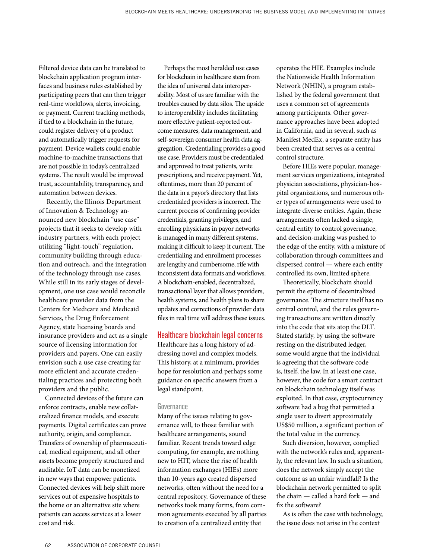Filtered device data can be translated to blockchain application program interfaces and business rules established by participating peers that can then trigger real-time workflows, alerts, invoicing, or payment. Current tracking methods, if tied to a blockchain in the future, could register delivery of a product and automatically trigger requests for payment. Device wallets could enable machine-to-machine transactions that are not possible in today's centralized systems. The result would be improved trust, accountability, transparency, and automation between devices.

 Recently, the Illinois Department of Innovation & Technology announced new blockchain "use case" projects that it seeks to develop with industry partners, with each project utilizing "light-touch" regulation, community building through education and outreach, and the integration of the technology through use cases. While still in its early stages of development, one use case would reconcile healthcare provider data from the Centers for Medicare and Medicaid Services, the Drug Enforcement Agency, state licensing boards and insurance providers and act as a single source of licensing information for providers and payers. One can easily envision such a use case creating far more efficient and accurate credentialing practices and protecting both providers and the public.

Connected devices of the future can enforce contracts, enable new collateralized finance models, and execute payments. Digital certificates can prove authority, origin, and compliance. Transfers of ownership of pharmaceutical, medical equipment, and all other assets become properly structured and auditable. IoT data can be monetized in new ways that empower patients. Connected devices will help shift more services out of expensive hospitals to the home or an alternative site where patients can access services at a lower cost and risk.

Perhaps the most heralded use cases for blockchain in healthcare stem from the idea of universal data interoperability. Most of us are familiar with the troubles caused by data silos. The upside to interoperability includes facilitating more effective patient-reported outcome measures, data management, and self-sovereign consumer health data aggregation. Credentialing provides a good use case. Providers must be credentialed and approved to treat patients, write prescriptions, and receive payment. Yet, oftentimes, more than 20 percent of the data in a payor's directory that lists credentialed providers is incorrect. The current process of confirming provider credentials, granting privileges, and enrolling physicians in payor networks is managed in many different systems, making it difficult to keep it current. The credentialing and enrollment processes are lengthy and cumbersome, rife with inconsistent data formats and workflows. A blockchain-enabled, decentralized, transactional layer that allows providers, health systems, and health plans to share updates and corrections of provider data files in real time will address these issues.

#### Healthcare blockchain legal concerns

Healthcare has a long history of addressing novel and complex models. This history, at a minimum, provides hope for resolution and perhaps some guidance on specific answers from a legal standpoint.

#### **Governance**

Many of the issues relating to governance will, to those familiar with healthcare arrangements, sound familiar. Recent trends toward edge computing, for example, are nothing new to HIT, where the rise of health information exchanges (HIEs) more than 10-years ago created dispersed networks, often without the need for a central repository. Governance of these networks took many forms, from common agreements executed by all parties to creation of a centralized entity that

operates the HIE. Examples include the Nationwide Health Information Network (NHIN), a program established by the federal government that uses a common set of agreements among participants. Other governance approaches have been adopted in California, and in several, such as Manifest MedEx, a separate entity has been created that serves as a central control structure.

Before HIEs were popular, management services organizations, integrated physician associations, physician-hospital organizations, and numerous other types of arrangements were used to integrate diverse entities. Again, these arrangements often lacked a single, central entity to control governance, and decision-making was pushed to the edge of the entity, with a mixture of collaboration through committees and dispersed control — where each entity controlled its own, limited sphere.

Theoretically, blockchain should permit the epitome of decentralized governance. The structure itself has no central control, and the rules governing transactions are written directly into the code that sits atop the DLT. Stated starkly, by using the software resting on the distributed ledger, some would argue that the individual is agreeing that the software code is, itself, the law. In at least one case, however, the code for a smart contract on blockchain technology itself was exploited. In that case, cryptocurrency software had a bug that permitted a single user to divert approximately US\$50 million, a significant portion of the total value in the currency.

Such diversion, however, complied with the network's rules and, apparently, the relevant law. In such a situation, does the network simply accept the outcome as an unfair windfall? Is the blockchain network permitted to split the chain — called a hard fork — and fix the software?

As is often the case with technology, the issue does not arise in the context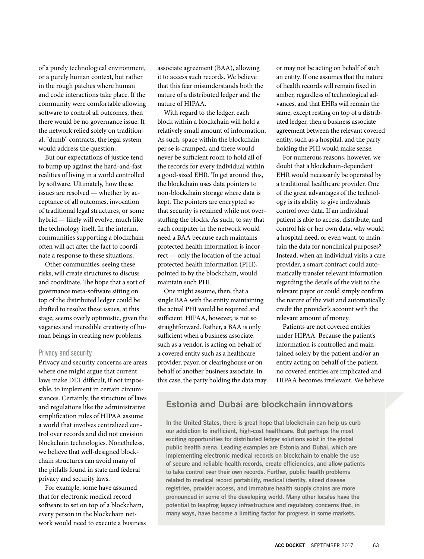of a purely technological environment, or a purely human context, but rather in the rough patches where human and code interactions take place. If the community were comfortable allowing software to control all outcomes, then there would be no governance issue. If the network relied solely on traditional, "dumb" contracts, the legal system would address the question.

But our expectations of justice tend to bump up against the hard-and-fast realities of living in a world controlled by software. Ultimately, how these issues are resolved — whether by acceptance of all outcomes, invocation of traditional legal structures, or some hybrid — likely will evolve, much like the technology itself. In the interim, communities supporting a blockchain often will act after the fact to coordinate a response to these situations.

Other communities, seeing these risks, will create structures to discuss and coordinate. The hope that a sort of governance meta-software sitting on top of the distributed ledger could be drafted to resolve these issues, at this stage, seems overly optimistic, given the vagaries and incredible creativity of human beings in creating new problems.

#### Privacy and security

Privacy and security concerns are areas where one might argue that current laws make DLT difficult, if not impossible, to implement in certain circumstances. Certainly, the structure of laws and regulations like the administrative simplification rules of HIPAA assume a world that involves centralized control over records and did not envision blockchain technologies. Nonetheless, we believe that well-designed blockchain structures can avoid many of the pitfalls found in state and federal privacy and security laws.

For example, some have assumed that for electronic medical record software to set on top of a blockchain, every person in the blockchain network would need to execute a business

associate agreement (BAA), allowing it to access such records. We believe that this fear misunderstands both the nature of a distributed ledger and the nature of HIPAA.

With regard to the ledger, each block within a blockchain will hold a relatively small amount of information. As such, space within the blockchain per se is cramped, and there would never be sufficient room to hold all of the records for every individual within a good-sized EHR. To get around this, the blockchain uses data pointers to non-blockchain storage where data is kept. The pointers are encrypted so that security is retained while not overstuffing the blocks. As such, to say that each computer in the network would need a BAA because each maintains protected health information is incorrect — only the location of the actual protected health information (PHI), pointed to by the blockchain, would maintain such PHI.

One might assume, then, that a single BAA with the entity maintaining the actual PHI would be required and sufficient. HIPAA, however, is not so straightforward. Rather, a BAA is only sufficient when a business associate, such as a vendor, is acting on behalf of a covered entity such as a healthcare provider, payor, or clearinghouse or on behalf of another business associate. In this case, the party holding the data may or may not be acting on behalf of such an entity. If one assumes that the nature of health records will remain fixed in amber, regardless of technological advances, and that EHRs will remain the same, except resting on top of a distributed ledger, then a business associate agreement between the relevant covered entity, such as a hospital, and the party holding the PHI would make sense.

For numerous reasons, however, we doubt that a blockchain-dependent EHR would necessarily be operated by a traditional healthcare provider. One of the great advantages of the technology is its ability to give individuals control over data. If an individual patient is able to access, distribute, and control his or her own data, why would a hospital need, or even want, to maintain the data for nonclinical purposes? Instead, when an individual visits a care provider, a smart contract could automatically transfer relevant information regarding the details of the visit to the relevant payor or could simply confirm the nature of the visit and automatically credit the provider's account with the relevant amount of money.

Patients are not covered entities under HIPAA. Because the patient's information is controlled and maintained solely by the patient and/or an entity acting on behalf of the patient, no covered entities are implicated and HIPAA becomes irrelevant. We believe

# Estonia and Dubai are blockchain innovators

**In the United States, there is great hope that blockchain can help us curb our addiction to inefficient, high-cost healthcare. But perhaps the most exciting opportunities for distributed ledger solutions exist in the global public health arena. Leading examples are Estonia and Dubai, which are implementing electronic medical records on blockchain to enable the use of secure and reliable health records, create efficiencies, and allow patients to take control over their own records. Further, public health problems related to medical record portability, medical identity, siloed disease registries, provider access, and immature health supply chains are more pronounced in some of the developing world. Many other locales have the potential to leapfrog legacy infrastructure and regulatory concerns that, in many ways, have become a limiting factor for progress in some markets.**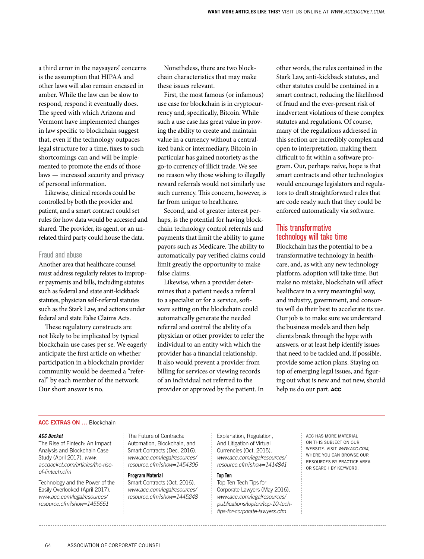a third error in the naysayers' concerns is the assumption that HIPAA and other laws will also remain encased in amber. While the law can be slow to respond, respond it eventually does. The speed with which Arizona and Vermont have implemented changes in law specific to blockchain suggest that, even if the technology outpaces legal structure for a time, fixes to such shortcomings can and will be implemented to promote the ends of those laws — increased security and privacy of personal information.

Likewise, clinical records could be controlled by both the provider and patient, and a smart contract could set rules for how data would be accessed and shared. The provider, its agent, or an unrelated third party could house the data.

#### Fraud and abuse

Another area that healthcare counsel must address regularly relates to improper payments and bills, including statutes such as federal and state anti-kickback statutes, physician self-referral statutes such as the Stark Law, and actions under federal and state False Claims Acts.

These regulatory constructs are not likely to be implicated by typical blockchain use cases per se. We eagerly anticipate the first article on whether participation in a blockchain provider community would be deemed a "referral" by each member of the network. Our short answer is no.

Nonetheless, there are two blockchain characteristics that may make these issues relevant.

First, the most famous (or infamous) use case for blockchain is in cryptocurrency and, specifically, Bitcoin. While such a use case has great value in proving the ability to create and maintain value in a currency without a centralized bank or intermediary, Bitcoin in particular has gained notoriety as the go-to currency of illicit trade. We see no reason why those wishing to illegally reward referrals would not similarly use such currency. This concern, however, is far from unique to healthcare.

Second, and of greater interest perhaps, is the potential for having blockchain technology control referrals and payments that limit the ability to game payors such as Medicare. The ability to automatically pay verified claims could limit greatly the opportunity to make false claims.

Likewise, when a provider determines that a patient needs a referral to a specialist or for a service, software setting on the blockchain could automatically generate the needed referral and control the ability of a physician or other provider to refer the individual to an entity with which the provider has a financial relationship. It also would prevent a provider from billing for services or viewing records of an individual not referred to the provider or approved by the patient. In

other words, the rules contained in the Stark Law, anti-kickback statutes, and other statutes could be contained in a smart contract, reducing the likelihood of fraud and the ever-present risk of inadvertent violations of these complex statutes and regulations. Of course, many of the regulations addressed in this section are incredibly complex and open to interpretation, making them difficult to fit within a software program. Our, perhaps naïve, hope is that smart contracts and other technologies would encourage legislators and regulators to draft straightforward rules that are code ready such that they could be enforced automatically via software.

# This transformative technology will take time

Blockchain has the potential to be a transformative technology in healthcare, and, as with any new technology platform, adoption will take time. But make no mistake, blockchain will affect healthcare in a very meaningful way, and industry, government, and consortia will do their best to accelerate its use. Our job is to make sure we understand the business models and then help clients break through the hype with answers, or at least help identify issues that need to be tackled and, if possible, provide some action plans. Staying on top of emerging legal issues, and figuring out what is new and not new, should help us do our part. **ACC**

#### **ACC EXTRAS ON …** Blockchain

#### *ACC Docket*

The Rise of Fintech: An Impact Analysis and Blockchain Case Study (April 2017). *www. accdocket.com/articles/the-riseof-fintech.cfm*

Technology and the Power of the Easily Overlooked (April 2017). *www.acc.com/legalresources/ resource.cfm?show=1455651*

The Future of Contracts: Automation, Blockchain, and Smart Contracts (Dec. 2016). *www.acc.com/legalresources/ resource.cfm?show=1454306*

#### **Program Material**

Smart Contracts (Oct. 2016). *www.acc.com/legalresources/ resource.cfm?show=1445248* Explanation, Regulation, And Litigation of Virtual Currencies (Oct. 2015). *www.acc.com/legalresources/ resource.cfm?show=1414841*

#### **Top Ten**

Top Ten Tech Tips for Corporate Lawyers (May 2016). *www.acc.com/legalresources/ publications/topten/top-10-techtips-for-corporate-lawyers.cfm*

ACC HAS MORE MATERIAL ON THIS SUBJECT ON OUR WEBSITE. VISIT *WWW.ACC.COM*, WHERE YOU CAN BROWSE OUR RESOURCES BY PRACTICE AREA OR SEARCH BY KEYWORD.